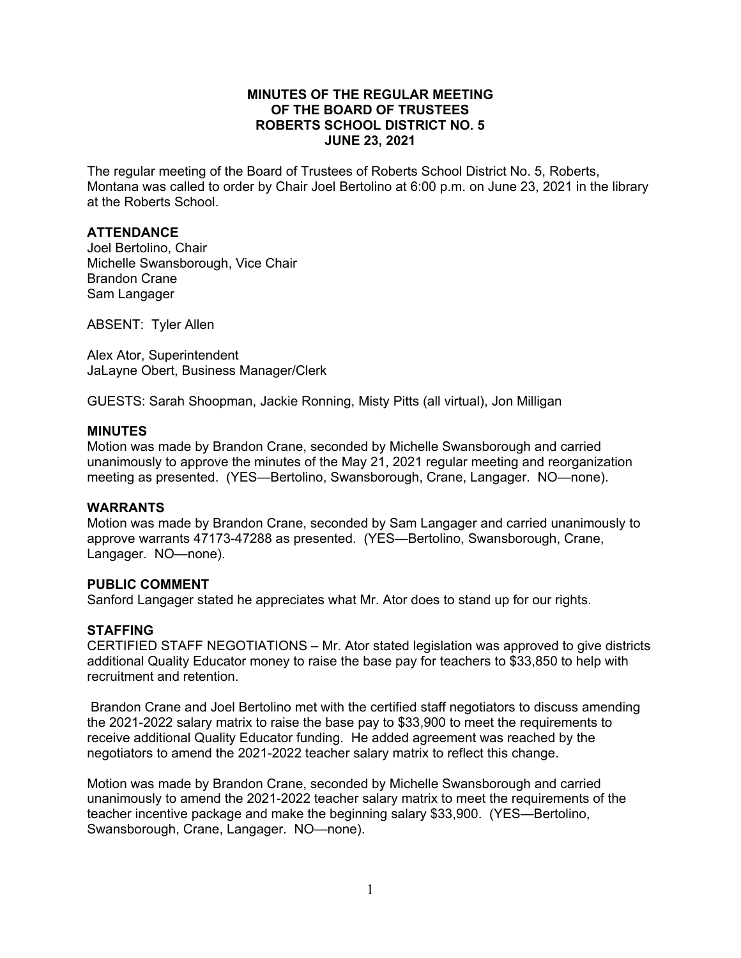### **MINUTES OF THE REGULAR MEETING OF THE BOARD OF TRUSTEES ROBERTS SCHOOL DISTRICT NO. 5 JUNE 23, 2021**

The regular meeting of the Board of Trustees of Roberts School District No. 5, Roberts, Montana was called to order by Chair Joel Bertolino at 6:00 p.m. on June 23, 2021 in the library at the Roberts School.

## **ATTENDANCE**

Joel Bertolino, Chair Michelle Swansborough, Vice Chair Brandon Crane Sam Langager

ABSENT: Tyler Allen

Alex Ator, Superintendent JaLayne Obert, Business Manager/Clerk

GUESTS: Sarah Shoopman, Jackie Ronning, Misty Pitts (all virtual), Jon Milligan

#### **MINUTES**

Motion was made by Brandon Crane, seconded by Michelle Swansborough and carried unanimously to approve the minutes of the May 21, 2021 regular meeting and reorganization meeting as presented. (YES—Bertolino, Swansborough, Crane, Langager. NO—none).

#### **WARRANTS**

Motion was made by Brandon Crane, seconded by Sam Langager and carried unanimously to approve warrants 47173-47288 as presented. (YES—Bertolino, Swansborough, Crane, Langager. NO—none).

#### **PUBLIC COMMENT**

Sanford Langager stated he appreciates what Mr. Ator does to stand up for our rights.

#### **STAFFING**

CERTIFIED STAFF NEGOTIATIONS – Mr. Ator stated legislation was approved to give districts additional Quality Educator money to raise the base pay for teachers to \$33,850 to help with recruitment and retention.

Brandon Crane and Joel Bertolino met with the certified staff negotiators to discuss amending the 2021-2022 salary matrix to raise the base pay to \$33,900 to meet the requirements to receive additional Quality Educator funding. He added agreement was reached by the negotiators to amend the 2021-2022 teacher salary matrix to reflect this change.

Motion was made by Brandon Crane, seconded by Michelle Swansborough and carried unanimously to amend the 2021-2022 teacher salary matrix to meet the requirements of the teacher incentive package and make the beginning salary \$33,900. (YES—Bertolino, Swansborough, Crane, Langager. NO—none).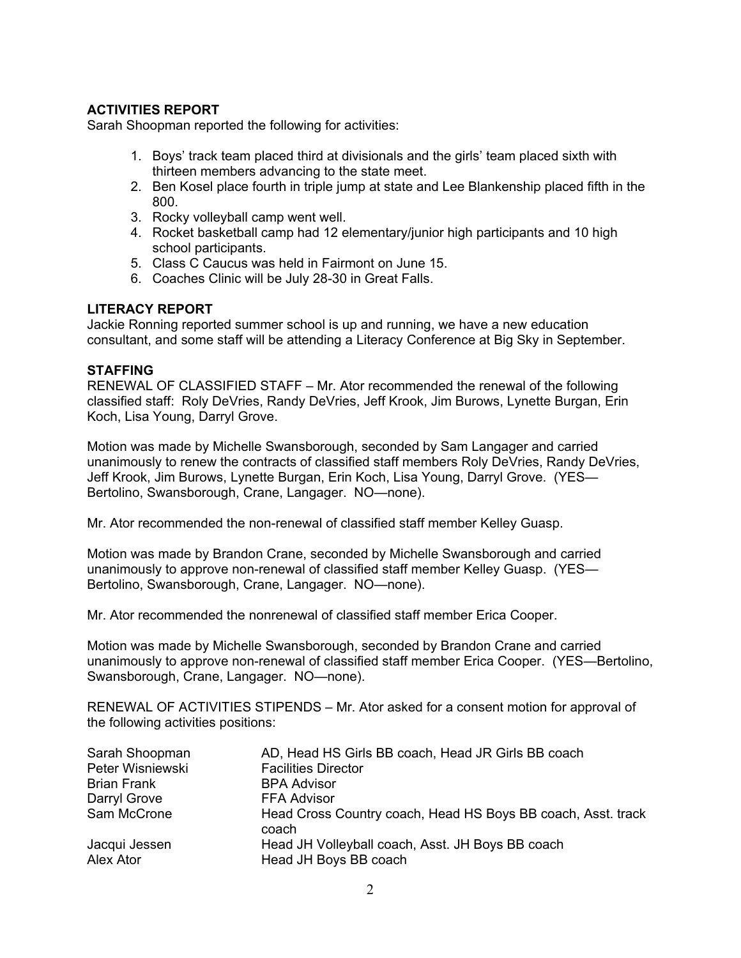# **ACTIVITIES REPORT**

Sarah Shoopman reported the following for activities:

- 1. Boys' track team placed third at divisionals and the girls' team placed sixth with thirteen members advancing to the state meet.
- 2. Ben Kosel place fourth in triple jump at state and Lee Blankenship placed fifth in the 800.
- 3. Rocky volleyball camp went well.
- 4. Rocket basketball camp had 12 elementary/junior high participants and 10 high school participants.
- 5. Class C Caucus was held in Fairmont on June 15.
- 6. Coaches Clinic will be July 28-30 in Great Falls.

## **LITERACY REPORT**

Jackie Ronning reported summer school is up and running, we have a new education consultant, and some staff will be attending a Literacy Conference at Big Sky in September.

## **STAFFING**

RENEWAL OF CLASSIFIED STAFF – Mr. Ator recommended the renewal of the following classified staff: Roly DeVries, Randy DeVries, Jeff Krook, Jim Burows, Lynette Burgan, Erin Koch, Lisa Young, Darryl Grove.

Motion was made by Michelle Swansborough, seconded by Sam Langager and carried unanimously to renew the contracts of classified staff members Roly DeVries, Randy DeVries, Jeff Krook, Jim Burows, Lynette Burgan, Erin Koch, Lisa Young, Darryl Grove. (YES— Bertolino, Swansborough, Crane, Langager. NO—none).

Mr. Ator recommended the non-renewal of classified staff member Kelley Guasp.

Motion was made by Brandon Crane, seconded by Michelle Swansborough and carried unanimously to approve non-renewal of classified staff member Kelley Guasp. (YES— Bertolino, Swansborough, Crane, Langager. NO—none).

Mr. Ator recommended the nonrenewal of classified staff member Erica Cooper.

Motion was made by Michelle Swansborough, seconded by Brandon Crane and carried unanimously to approve non-renewal of classified staff member Erica Cooper. (YES—Bertolino, Swansborough, Crane, Langager. NO—none).

RENEWAL OF ACTIVITIES STIPENDS – Mr. Ator asked for a consent motion for approval of the following activities positions:

| Sarah Shoopman     | AD, Head HS Girls BB coach, Head JR Girls BB coach                    |  |
|--------------------|-----------------------------------------------------------------------|--|
| Peter Wisniewski   | <b>Facilities Director</b>                                            |  |
| <b>Brian Frank</b> | <b>BPA Advisor</b>                                                    |  |
| Darryl Grove       | <b>FFA Advisor</b>                                                    |  |
| Sam McCrone        | Head Cross Country coach, Head HS Boys BB coach, Asst. track<br>coach |  |
| Jacqui Jessen      | Head JH Volleyball coach, Asst. JH Boys BB coach                      |  |
| Alex Ator          | Head JH Boys BB coach                                                 |  |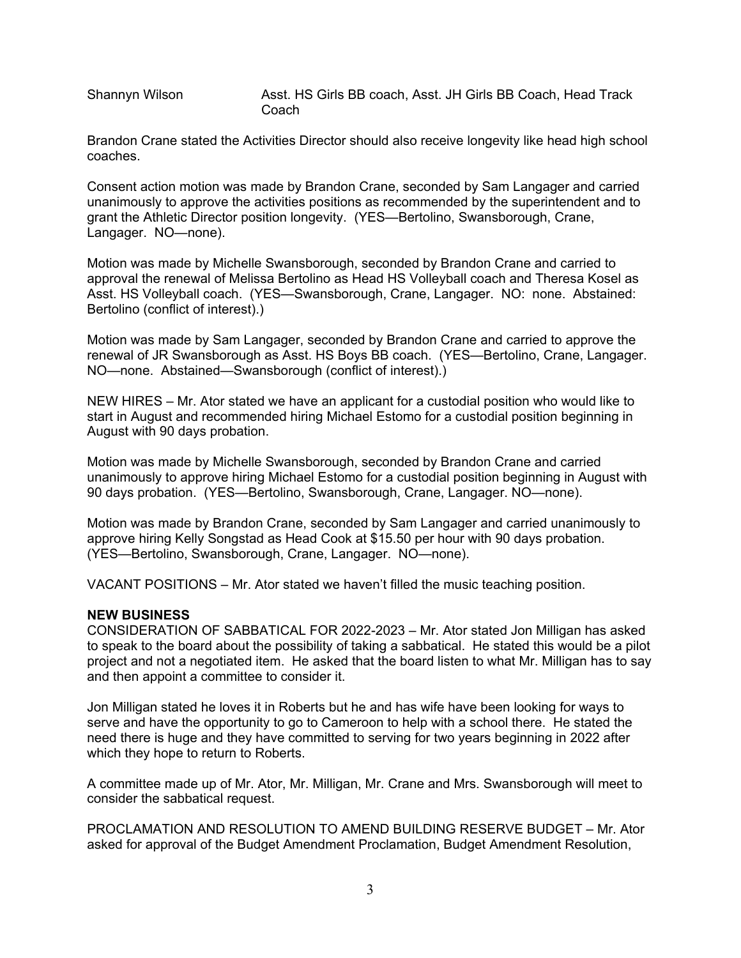Shannyn Wilson **Asst. HS Girls BB coach, Asst. JH Girls BB** Coach, Head Track Coach

Brandon Crane stated the Activities Director should also receive longevity like head high school coaches.

Consent action motion was made by Brandon Crane, seconded by Sam Langager and carried unanimously to approve the activities positions as recommended by the superintendent and to grant the Athletic Director position longevity. (YES—Bertolino, Swansborough, Crane, Langager. NO—none).

Motion was made by Michelle Swansborough, seconded by Brandon Crane and carried to approval the renewal of Melissa Bertolino as Head HS Volleyball coach and Theresa Kosel as Asst. HS Volleyball coach. (YES—Swansborough, Crane, Langager. NO: none. Abstained: Bertolino (conflict of interest).)

Motion was made by Sam Langager, seconded by Brandon Crane and carried to approve the renewal of JR Swansborough as Asst. HS Boys BB coach. (YES—Bertolino, Crane, Langager. NO—none. Abstained—Swansborough (conflict of interest).)

NEW HIRES – Mr. Ator stated we have an applicant for a custodial position who would like to start in August and recommended hiring Michael Estomo for a custodial position beginning in August with 90 days probation.

Motion was made by Michelle Swansborough, seconded by Brandon Crane and carried unanimously to approve hiring Michael Estomo for a custodial position beginning in August with 90 days probation. (YES—Bertolino, Swansborough, Crane, Langager. NO—none).

Motion was made by Brandon Crane, seconded by Sam Langager and carried unanimously to approve hiring Kelly Songstad as Head Cook at \$15.50 per hour with 90 days probation. (YES—Bertolino, Swansborough, Crane, Langager. NO—none).

VACANT POSITIONS – Mr. Ator stated we haven't filled the music teaching position.

#### **NEW BUSINESS**

CONSIDERATION OF SABBATICAL FOR 2022-2023 – Mr. Ator stated Jon Milligan has asked to speak to the board about the possibility of taking a sabbatical. He stated this would be a pilot project and not a negotiated item. He asked that the board listen to what Mr. Milligan has to say and then appoint a committee to consider it.

Jon Milligan stated he loves it in Roberts but he and has wife have been looking for ways to serve and have the opportunity to go to Cameroon to help with a school there. He stated the need there is huge and they have committed to serving for two years beginning in 2022 after which they hope to return to Roberts.

A committee made up of Mr. Ator, Mr. Milligan, Mr. Crane and Mrs. Swansborough will meet to consider the sabbatical request.

PROCLAMATION AND RESOLUTION TO AMEND BUILDING RESERVE BUDGET – Mr. Ator asked for approval of the Budget Amendment Proclamation, Budget Amendment Resolution,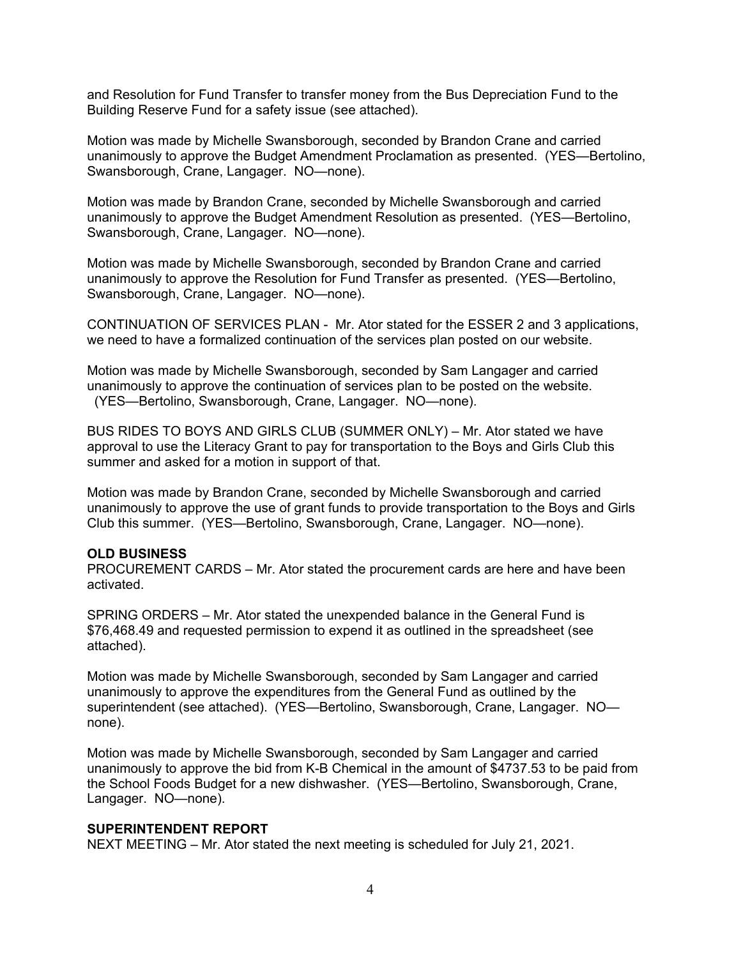and Resolution for Fund Transfer to transfer money from the Bus Depreciation Fund to the Building Reserve Fund for a safety issue (see attached).

Motion was made by Michelle Swansborough, seconded by Brandon Crane and carried unanimously to approve the Budget Amendment Proclamation as presented. (YES—Bertolino, Swansborough, Crane, Langager. NO—none).

Motion was made by Brandon Crane, seconded by Michelle Swansborough and carried unanimously to approve the Budget Amendment Resolution as presented. (YES—Bertolino, Swansborough, Crane, Langager. NO—none).

Motion was made by Michelle Swansborough, seconded by Brandon Crane and carried unanimously to approve the Resolution for Fund Transfer as presented. (YES—Bertolino, Swansborough, Crane, Langager. NO—none).

CONTINUATION OF SERVICES PLAN - Mr. Ator stated for the ESSER 2 and 3 applications, we need to have a formalized continuation of the services plan posted on our website.

Motion was made by Michelle Swansborough, seconded by Sam Langager and carried unanimously to approve the continuation of services plan to be posted on the website. (YES—Bertolino, Swansborough, Crane, Langager. NO—none).

BUS RIDES TO BOYS AND GIRLS CLUB (SUMMER ONLY) – Mr. Ator stated we have approval to use the Literacy Grant to pay for transportation to the Boys and Girls Club this summer and asked for a motion in support of that.

Motion was made by Brandon Crane, seconded by Michelle Swansborough and carried unanimously to approve the use of grant funds to provide transportation to the Boys and Girls Club this summer. (YES—Bertolino, Swansborough, Crane, Langager. NO—none).

#### **OLD BUSINESS**

PROCUREMENT CARDS – Mr. Ator stated the procurement cards are here and have been activated.

SPRING ORDERS – Mr. Ator stated the unexpended balance in the General Fund is \$76,468.49 and requested permission to expend it as outlined in the spreadsheet (see attached).

Motion was made by Michelle Swansborough, seconded by Sam Langager and carried unanimously to approve the expenditures from the General Fund as outlined by the superintendent (see attached). (YES—Bertolino, Swansborough, Crane, Langager. NO none).

Motion was made by Michelle Swansborough, seconded by Sam Langager and carried unanimously to approve the bid from K-B Chemical in the amount of \$4737.53 to be paid from the School Foods Budget for a new dishwasher. (YES—Bertolino, Swansborough, Crane, Langager. NO—none).

#### **SUPERINTENDENT REPORT**

NEXT MEETING – Mr. Ator stated the next meeting is scheduled for July 21, 2021.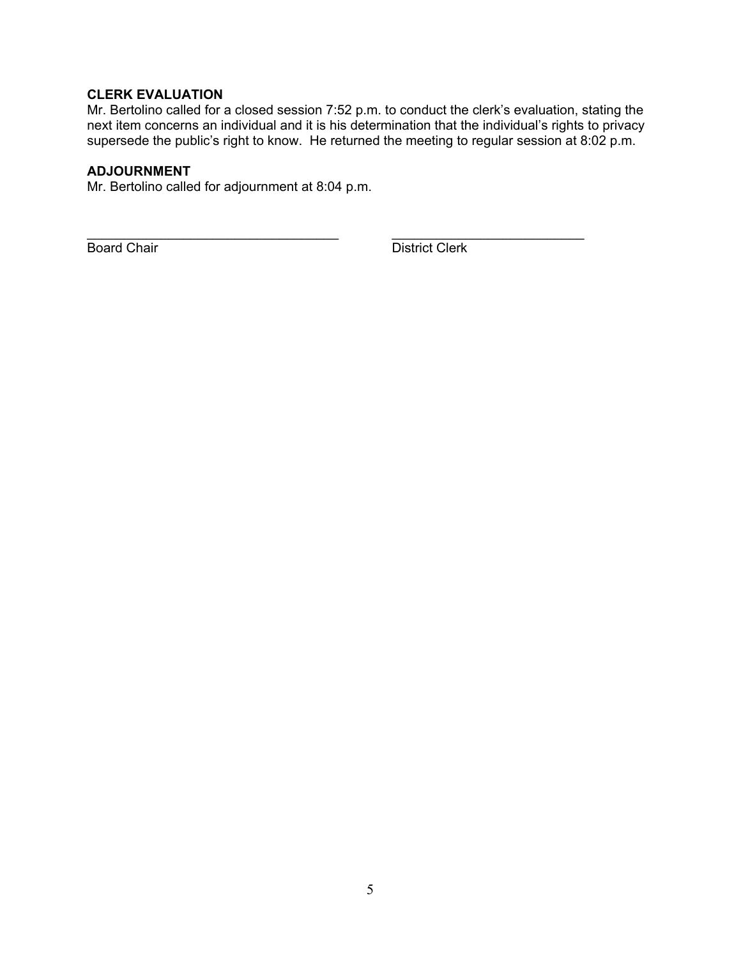# **CLERK EVALUATION**

Mr. Bertolino called for a closed session 7:52 p.m. to conduct the clerk's evaluation, stating the next item concerns an individual and it is his determination that the individual's rights to privacy supersede the public's right to know. He returned the meeting to regular session at 8:02 p.m.

## **ADJOURNMENT**

Mr. Bertolino called for adjournment at 8:04 p.m.

\_\_\_\_\_\_\_\_\_\_\_\_\_\_\_\_\_\_\_\_\_\_\_\_\_\_\_\_\_\_\_\_\_\_ \_\_\_\_\_\_\_\_\_\_\_\_\_\_\_\_\_\_\_\_\_\_\_\_\_\_ **Board Chair** District Clerk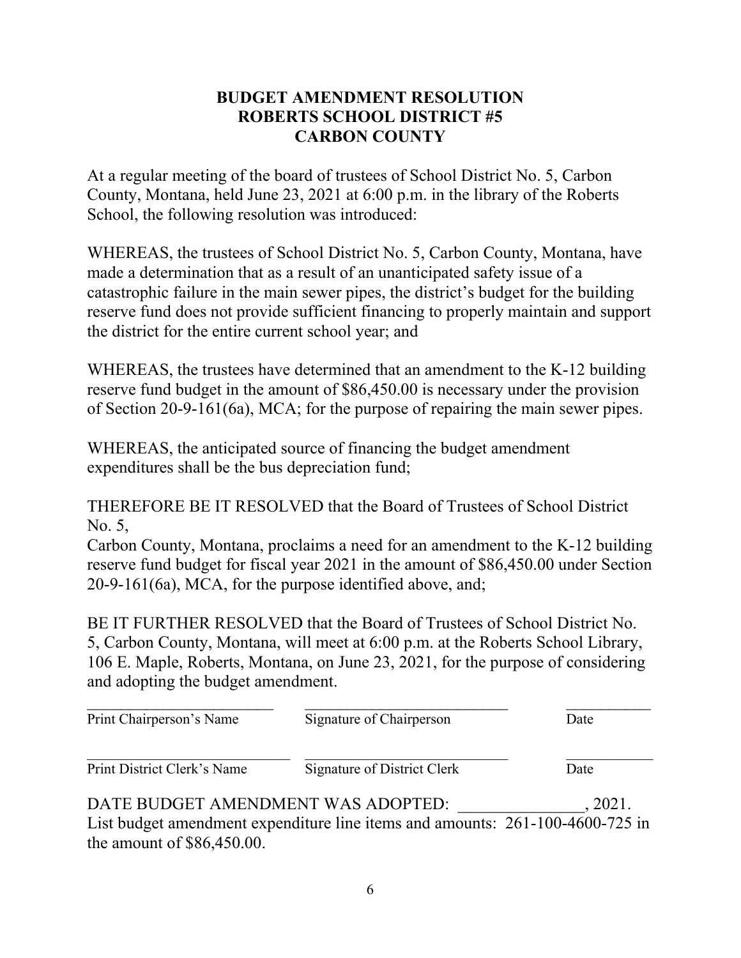# **BUDGET AMENDMENT RESOLUTION ROBERTS SCHOOL DISTRICT #5 CARBON COUNTY**

At a regular meeting of the board of trustees of School District No. 5, Carbon County, Montana, held June 23, 2021 at 6:00 p.m. in the library of the Roberts School, the following resolution was introduced:

WHEREAS, the trustees of School District No. 5, Carbon County, Montana, have made a determination that as a result of an unanticipated safety issue of a catastrophic failure in the main sewer pipes, the district's budget for the building reserve fund does not provide sufficient financing to properly maintain and support the district for the entire current school year; and

WHEREAS, the trustees have determined that an amendment to the K-12 building reserve fund budget in the amount of \$86,450.00 is necessary under the provision of Section 20-9-161(6a), MCA; for the purpose of repairing the main sewer pipes.

WHEREAS, the anticipated source of financing the budget amendment expenditures shall be the bus depreciation fund;

THEREFORE BE IT RESOLVED that the Board of Trustees of School District No. 5,

Carbon County, Montana, proclaims a need for an amendment to the K-12 building reserve fund budget for fiscal year 2021 in the amount of \$86,450.00 under Section 20-9-161(6a), MCA, for the purpose identified above, and;

BE IT FURTHER RESOLVED that the Board of Trustees of School District No. 5, Carbon County, Montana, will meet at 6:00 p.m. at the Roberts School Library, 106 E. Maple, Roberts, Montana, on June 23, 2021, for the purpose of considering and adopting the budget amendment.

| Print Chairperson's Name           | Signature of Chairperson                                                      | Date    |
|------------------------------------|-------------------------------------------------------------------------------|---------|
| Print District Clerk's Name        | Signature of District Clerk                                                   | Date    |
| DATE BUDGET AMENDMENT WAS ADOPTED: | List budget amendment expenditure line items and amounts: 261-100-4600-725 in | . 2021. |

the amount of \$86,450.00.